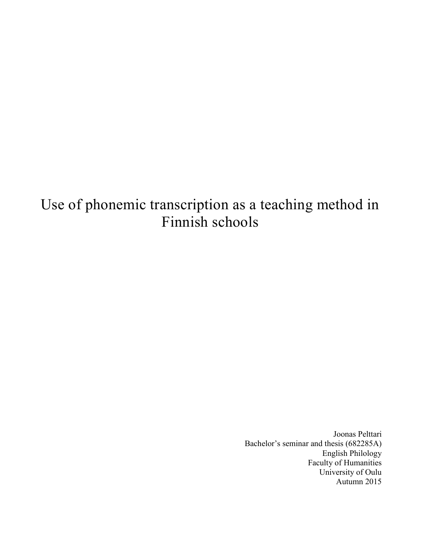# Use of phonemic transcription as a teaching method in Finnish schools

Joonas Pelttari Bachelor's seminar and thesis (682285A) English Philology Faculty of Humanities University of Oulu Autumn 2015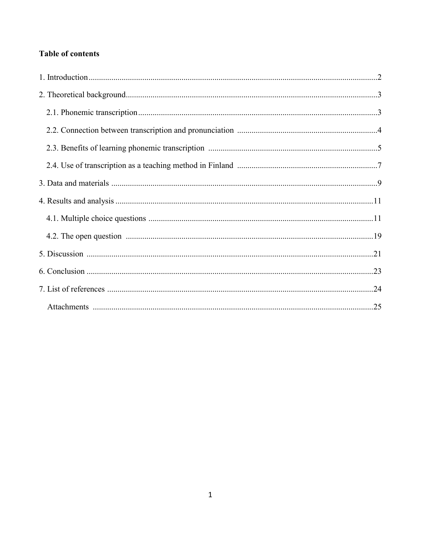# **Table of contents**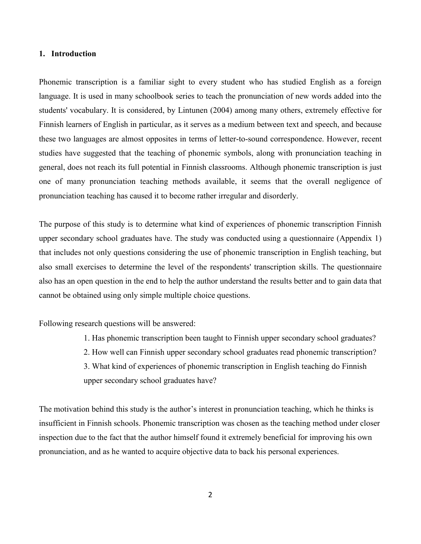## **1. Introduction**

Phonemic transcription is a familiar sight to every student who has studied English as a foreign language. It is used in many schoolbook series to teach the pronunciation of new words added into the students' vocabulary. It is considered, by Lintunen (2004) among many others, extremely effective for Finnish learners of English in particular, as it serves as a medium between text and speech, and because these two languages are almost opposites in terms of letter-to-sound correspondence. However, recent studies have suggested that the teaching of phonemic symbols, along with pronunciation teaching in general, does not reach its full potential in Finnish classrooms. Although phonemic transcription is just one of many pronunciation teaching methods available, it seems that the overall negligence of pronunciation teaching has caused it to become rather irregular and disorderly.

The purpose of this study is to determine what kind of experiences of phonemic transcription Finnish upper secondary school graduates have. The study was conducted using a questionnaire (Appendix 1) that includes not only questions considering the use of phonemic transcription in English teaching, but also small exercises to determine the level of the respondents' transcription skills. The questionnaire also has an open question in the end to help the author understand the results better and to gain data that cannot be obtained using only simple multiple choice questions.

Following research questions will be answered:

- 1. Has phonemic transcription been taught to Finnish upper secondary school graduates?
- 2. How well can Finnish upper secondary school graduates read phonemic transcription? 3. What kind of experiences of phonemic transcription in English teaching do Finnish
- upper secondary school graduates have?

The motivation behind this study is the author's interest in pronunciation teaching, which he thinks is insufficient in Finnish schools. Phonemic transcription was chosen as the teaching method under closer inspection due to the fact that the author himself found it extremely beneficial for improving his own pronunciation, and as he wanted to acquire objective data to back his personal experiences.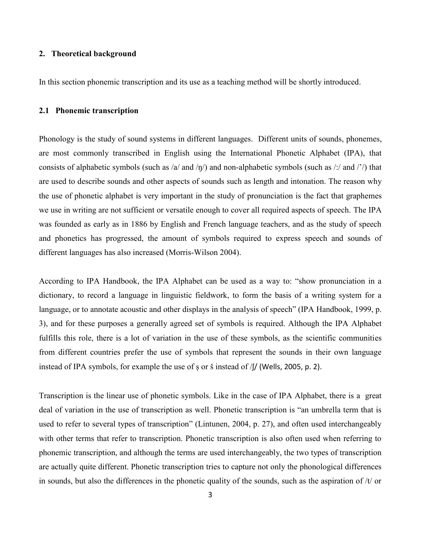## **2. Theoretical background**

In this section phonemic transcription and its use as a teaching method will be shortly introduced.

#### **2.1 Phonemic transcription**

Phonology is the study of sound systems in different languages. Different units of sounds, phonemes, are most commonly transcribed in English using the International Phonetic Alphabet (IPA), that consists of alphabetic symbols (such as /a/ and /ŋ/) and non-alphabetic symbols (such as /:/ and /'/) that are used to describe sounds and other aspects of sounds such as length and intonation. The reason why the use of phonetic alphabet is very important in the study of pronunciation is the fact that graphemes we use in writing are not sufficient or versatile enough to cover all required aspects of speech. The IPA was founded as early as in 1886 by English and French language teachers, and as the study of speech and phonetics has progressed, the amount of symbols required to express speech and sounds of different languages has also increased (Morris-Wilson 2004).

According to IPA Handbook, the IPA Alphabet can be used as a way to: "show pronunciation in a dictionary, to record a language in linguistic fieldwork, to form the basis of a writing system for a language, or to annotate acoustic and other displays in the analysis of speech" (IPA Handbook, 1999, p. 3), and for these purposes a generally agreed set of symbols is required. Although the IPA Alphabet fulfills this role, there is a lot of variation in the use of these symbols, as the scientific communities from different countries prefer the use of symbols that represent the sounds in their own language instead of IPA symbols, for example the use of ș or š instead of /ʃ/ (Wells, 2005, p. 2).

Transcription is the linear use of phonetic symbols. Like in the case of IPA Alphabet, there is a great deal of variation in the use of transcription as well. Phonetic transcription is "an umbrella term that is used to refer to several types of transcription" (Lintunen, 2004, p. 27), and often used interchangeably with other terms that refer to transcription. Phonetic transcription is also often used when referring to phonemic transcription, and although the terms are used interchangeably, the two types of transcription are actually quite different. Phonetic transcription tries to capture not only the phonological differences in sounds, but also the differences in the phonetic quality of the sounds, such as the aspiration of  $/t$  or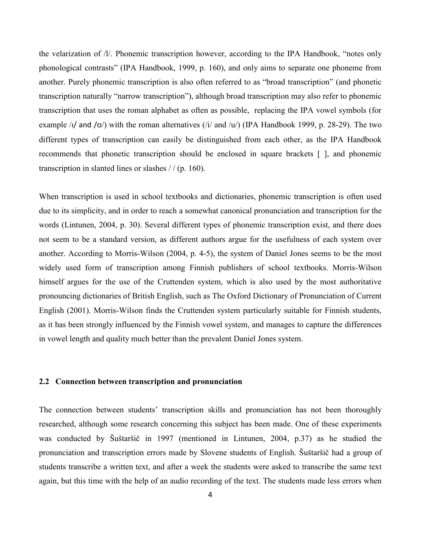the velarization of /l/. Phonemic transcription however, according to the IPA Handbook, "notes only phonological contrasts" (IPA Handbook, 1999, p. 160), and only aims to separate one phoneme from another. Purely phonemic transcription is also often referred to as "broad transcription" (and phonetic transcription naturally "narrow transcription"), although broad transcription may also refer to phonemic transcription that uses the roman alphabet as often as possible, replacing the IPA vowel symbols (for example  $\frac{1}{4}$  and  $\frac{1}{6}$  with the roman alternatives  $\frac{1}{1}$  and  $\frac{1}{1}$  (IPA Handbook 1999, p. 28-29). The two different types of transcription can easily be distinguished from each other, as the IPA Handbook recommends that phonetic transcription should be enclosed in square brackets [ ], and phonemic transcription in slanted lines or slashes / / (p. 160).

When transcription is used in school textbooks and dictionaries, phonemic transcription is often used due to its simplicity, and in order to reach a somewhat canonical pronunciation and transcription for the words (Lintunen, 2004, p. 30). Several different types of phonemic transcription exist, and there does not seem to be a standard version, as different authors argue for the usefulness of each system over another. According to Morris-Wilson (2004, p. 4-5), the system of Daniel Jones seems to be the most widely used form of transcription among Finnish publishers of school textbooks. Morris-Wilson himself argues for the use of the Cruttenden system, which is also used by the most authoritative pronouncing dictionaries of British English, such as The Oxford Dictionary of Pronunciation of Current English (2001). Morris-Wilson finds the Cruttenden system particularly suitable for Finnish students, as it has been strongly influenced by the Finnish vowel system, and manages to capture the differences in vowel length and quality much better than the prevalent Daniel Jones system.

# **2.2 Connection between transcription and pronunciation**

The connection between students' transcription skills and pronunciation has not been thoroughly researched, although some research concerning this subject has been made. One of these experiments was conducted by Šuštaršič in 1997 (mentioned in Lintunen, 2004, p.37) as he studied the pronunciation and transcription errors made by Slovene students of English. Šuštaršič had a group of students transcribe a written text, and after a week the students were asked to transcribe the same text again, but this time with the help of an audio recording of the text. The students made less errors when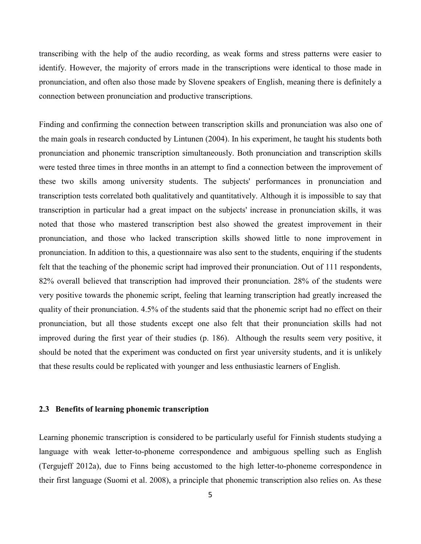transcribing with the help of the audio recording, as weak forms and stress patterns were easier to identify. However, the majority of errors made in the transcriptions were identical to those made in pronunciation, and often also those made by Slovene speakers of English, meaning there is definitely a connection between pronunciation and productive transcriptions.

Finding and confirming the connection between transcription skills and pronunciation was also one of the main goals in research conducted by Lintunen (2004). In his experiment, he taught his students both pronunciation and phonemic transcription simultaneously. Both pronunciation and transcription skills were tested three times in three months in an attempt to find a connection between the improvement of these two skills among university students. The subjects' performances in pronunciation and transcription tests correlated both qualitatively and quantitatively. Although it is impossible to say that transcription in particular had a great impact on the subjects' increase in pronunciation skills, it was noted that those who mastered transcription best also showed the greatest improvement in their pronunciation, and those who lacked transcription skills showed little to none improvement in pronunciation. In addition to this, a questionnaire was also sent to the students, enquiring if the students felt that the teaching of the phonemic script had improved their pronunciation. Out of 111 respondents, 82% overall believed that transcription had improved their pronunciation. 28% of the students were very positive towards the phonemic script, feeling that learning transcription had greatly increased the quality of their pronunciation. 4.5% of the students said that the phonemic script had no effect on their pronunciation, but all those students except one also felt that their pronunciation skills had not improved during the first year of their studies (p. 186). Although the results seem very positive, it should be noted that the experiment was conducted on first year university students, and it is unlikely that these results could be replicated with younger and less enthusiastic learners of English.

# **2.3 Benefits of learning phonemic transcription**

Learning phonemic transcription is considered to be particularly useful for Finnish students studying a language with weak letter-to-phoneme correspondence and ambiguous spelling such as English (Tergujeff 2012a), due to Finns being accustomed to the high letter-to-phoneme correspondence in their first language (Suomi et al. 2008), a principle that phonemic transcription also relies on. As these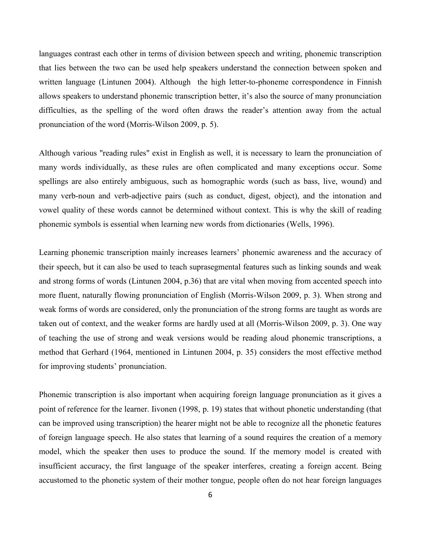languages contrast each other in terms of division between speech and writing, phonemic transcription that lies between the two can be used help speakers understand the connection between spoken and written language (Lintunen 2004). Although the high letter-to-phoneme correspondence in Finnish allows speakers to understand phonemic transcription better, it's also the source of many pronunciation difficulties, as the spelling of the word often draws the reader's attention away from the actual pronunciation of the word (Morris-Wilson 2009, p. 5).

Although various "reading rules" exist in English as well, it is necessary to learn the pronunciation of many words individually, as these rules are often complicated and many exceptions occur. Some spellings are also entirely ambiguous, such as homographic words (such as bass, live, wound) and many verb-noun and verb-adjective pairs (such as conduct, digest, object), and the intonation and vowel quality of these words cannot be determined without context. This is why the skill of reading phonemic symbols is essential when learning new words from dictionaries (Wells, 1996).

Learning phonemic transcription mainly increases learners' phonemic awareness and the accuracy of their speech, but it can also be used to teach suprasegmental features such as linking sounds and weak and strong forms of words (Lintunen 2004, p.36) that are vital when moving from accented speech into more fluent, naturally flowing pronunciation of English (Morris-Wilson 2009, p. 3). When strong and weak forms of words are considered, only the pronunciation of the strong forms are taught as words are taken out of context, and the weaker forms are hardly used at all (Morris-Wilson 2009, p. 3). One way of teaching the use of strong and weak versions would be reading aloud phonemic transcriptions, a method that Gerhard (1964, mentioned in Lintunen 2004, p. 35) considers the most effective method for improving students' pronunciation.

Phonemic transcription is also important when acquiring foreign language pronunciation as it gives a point of reference for the learner. Iivonen (1998, p. 19) states that without phonetic understanding (that can be improved using transcription) the hearer might not be able to recognize all the phonetic features of foreign language speech. He also states that learning of a sound requires the creation of a memory model, which the speaker then uses to produce the sound. If the memory model is created with insufficient accuracy, the first language of the speaker interferes, creating a foreign accent. Being accustomed to the phonetic system of their mother tongue, people often do not hear foreign languages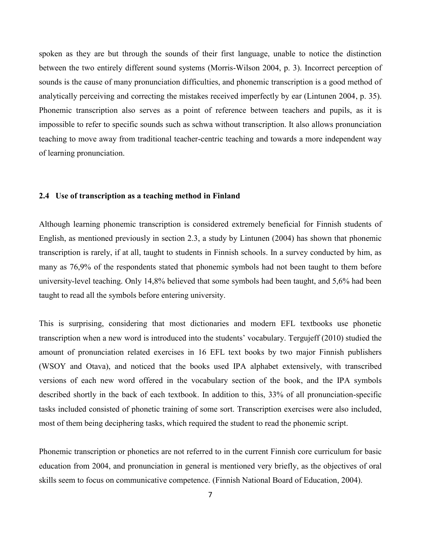spoken as they are but through the sounds of their first language, unable to notice the distinction between the two entirely different sound systems (Morris-Wilson 2004, p. 3). Incorrect perception of sounds is the cause of many pronunciation difficulties, and phonemic transcription is a good method of analytically perceiving and correcting the mistakes received imperfectly by ear (Lintunen 2004, p. 35). Phonemic transcription also serves as a point of reference between teachers and pupils, as it is impossible to refer to specific sounds such as schwa without transcription. It also allows pronunciation teaching to move away from traditional teacher-centric teaching and towards a more independent way of learning pronunciation.

## **2.4 Use of transcription as a teaching method in Finland**

Although learning phonemic transcription is considered extremely beneficial for Finnish students of English, as mentioned previously in section 2.3, a study by Lintunen (2004) has shown that phonemic transcription is rarely, if at all, taught to students in Finnish schools. In a survey conducted by him, as many as 76,9% of the respondents stated that phonemic symbols had not been taught to them before university-level teaching. Only 14,8% believed that some symbols had been taught, and 5,6% had been taught to read all the symbols before entering university.

This is surprising, considering that most dictionaries and modern EFL textbooks use phonetic transcription when a new word is introduced into the students' vocabulary. Tergujeff (2010) studied the amount of pronunciation related exercises in 16 EFL text books by two major Finnish publishers (WSOY and Otava), and noticed that the books used IPA alphabet extensively, with transcribed versions of each new word offered in the vocabulary section of the book, and the IPA symbols described shortly in the back of each textbook. In addition to this, 33% of all pronunciation-specific tasks included consisted of phonetic training of some sort. Transcription exercises were also included, most of them being deciphering tasks, which required the student to read the phonemic script.

Phonemic transcription or phonetics are not referred to in the current Finnish core curriculum for basic education from 2004, and pronunciation in general is mentioned very briefly, as the objectives of oral skills seem to focus on communicative competence. (Finnish National Board of Education, 2004).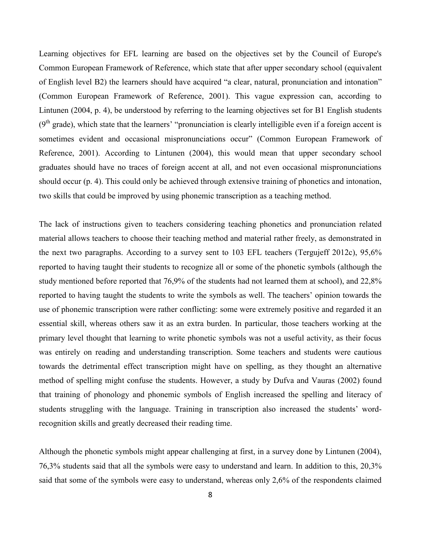Learning objectives for EFL learning are based on the objectives set by the Council of Europe's Common European Framework of Reference, which state that after upper secondary school (equivalent of English level B2) the learners should have acquired "a clear, natural, pronunciation and intonation" (Common European Framework of Reference, 2001). This vague expression can, according to Lintunen (2004, p. 4), be understood by referring to the learning objectives set for B1 English students  $(9<sup>th</sup> grade)$ , which state that the learners' "pronunciation is clearly intelligible even if a foreign accent is sometimes evident and occasional mispronunciations occur" (Common European Framework of Reference, 2001). According to Lintunen (2004), this would mean that upper secondary school graduates should have no traces of foreign accent at all, and not even occasional mispronunciations should occur (p. 4). This could only be achieved through extensive training of phonetics and intonation, two skills that could be improved by using phonemic transcription as a teaching method.

The lack of instructions given to teachers considering teaching phonetics and pronunciation related material allows teachers to choose their teaching method and material rather freely, as demonstrated in the next two paragraphs. According to a survey sent to 103 EFL teachers (Tergujeff 2012c), 95,6% reported to having taught their students to recognize all or some of the phonetic symbols (although the study mentioned before reported that 76,9% of the students had not learned them at school), and 22,8% reported to having taught the students to write the symbols as well. The teachers' opinion towards the use of phonemic transcription were rather conflicting: some were extremely positive and regarded it an essential skill, whereas others saw it as an extra burden. In particular, those teachers working at the primary level thought that learning to write phonetic symbols was not a useful activity, as their focus was entirely on reading and understanding transcription. Some teachers and students were cautious towards the detrimental effect transcription might have on spelling, as they thought an alternative method of spelling might confuse the students. However, a study by Dufva and Vauras (2002) found that training of phonology and phonemic symbols of English increased the spelling and literacy of students struggling with the language. Training in transcription also increased the students' wordrecognition skills and greatly decreased their reading time.

Although the phonetic symbols might appear challenging at first, in a survey done by Lintunen (2004), 76,3% students said that all the symbols were easy to understand and learn. In addition to this, 20,3% said that some of the symbols were easy to understand, whereas only 2,6% of the respondents claimed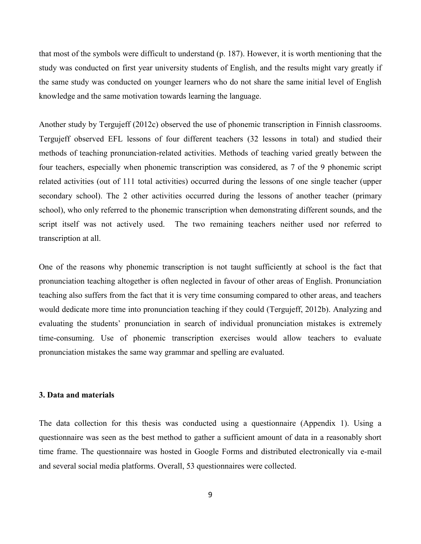that most of the symbols were difficult to understand (p. 187). However, it is worth mentioning that the study was conducted on first year university students of English, and the results might vary greatly if the same study was conducted on younger learners who do not share the same initial level of English knowledge and the same motivation towards learning the language.

Another study by Tergujeff (2012c) observed the use of phonemic transcription in Finnish classrooms. Tergujeff observed EFL lessons of four different teachers (32 lessons in total) and studied their methods of teaching pronunciation-related activities. Methods of teaching varied greatly between the four teachers, especially when phonemic transcription was considered, as 7 of the 9 phonemic script related activities (out of 111 total activities) occurred during the lessons of one single teacher (upper secondary school). The 2 other activities occurred during the lessons of another teacher (primary school), who only referred to the phonemic transcription when demonstrating different sounds, and the script itself was not actively used. The two remaining teachers neither used nor referred to transcription at all.

One of the reasons why phonemic transcription is not taught sufficiently at school is the fact that pronunciation teaching altogether is often neglected in favour of other areas of English. Pronunciation teaching also suffers from the fact that it is very time consuming compared to other areas, and teachers would dedicate more time into pronunciation teaching if they could (Tergujeff, 2012b). Analyzing and evaluating the students' pronunciation in search of individual pronunciation mistakes is extremely time-consuming. Use of phonemic transcription exercises would allow teachers to evaluate pronunciation mistakes the same way grammar and spelling are evaluated.

#### **3. Data and materials**

The data collection for this thesis was conducted using a questionnaire (Appendix 1). Using a questionnaire was seen as the best method to gather a sufficient amount of data in a reasonably short time frame. The questionnaire was hosted in Google Forms and distributed electronically via e-mail and several social media platforms. Overall, 53 questionnaires were collected.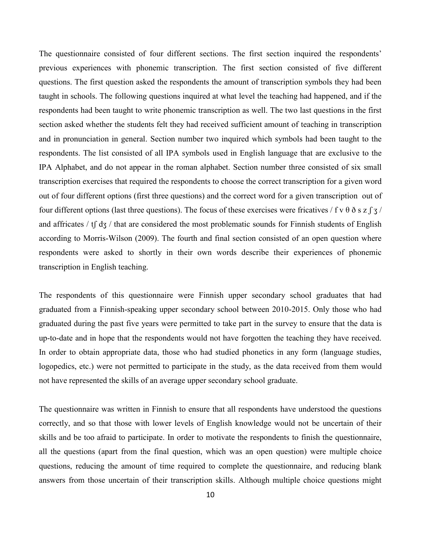The questionnaire consisted of four different sections. The first section inquired the respondents' previous experiences with phonemic transcription. The first section consisted of five different questions. The first question asked the respondents the amount of transcription symbols they had been taught in schools. The following questions inquired at what level the teaching had happened, and if the respondents had been taught to write phonemic transcription as well. The two last questions in the first section asked whether the students felt they had received sufficient amount of teaching in transcription and in pronunciation in general. Section number two inquired which symbols had been taught to the respondents. The list consisted of all IPA symbols used in English language that are exclusive to the IPA Alphabet, and do not appear in the roman alphabet. Section number three consisted of six small transcription exercises that required the respondents to choose the correct transcription for a given word out of four different options (first three questions) and the correct word for a given transcription out of four different options (last three questions). The focus of these exercises were fricatives / f v  $\theta$   $\delta$  s z  $\int$   $\frac{7}{3}$  / and affricates /  $tf$  d $\frac{1}{3}$  / that are considered the most problematic sounds for Finnish students of English according to Morris-Wilson (2009). The fourth and final section consisted of an open question where respondents were asked to shortly in their own words describe their experiences of phonemic transcription in English teaching.

The respondents of this questionnaire were Finnish upper secondary school graduates that had graduated from a Finnish-speaking upper secondary school between 2010-2015. Only those who had graduated during the past five years were permitted to take part in the survey to ensure that the data is up-to-date and in hope that the respondents would not have forgotten the teaching they have received. In order to obtain appropriate data, those who had studied phonetics in any form (language studies, logopedics, etc.) were not permitted to participate in the study, as the data received from them would not have represented the skills of an average upper secondary school graduate.

The questionnaire was written in Finnish to ensure that all respondents have understood the questions correctly, and so that those with lower levels of English knowledge would not be uncertain of their skills and be too afraid to participate. In order to motivate the respondents to finish the questionnaire, all the questions (apart from the final question, which was an open question) were multiple choice questions, reducing the amount of time required to complete the questionnaire, and reducing blank answers from those uncertain of their transcription skills. Although multiple choice questions might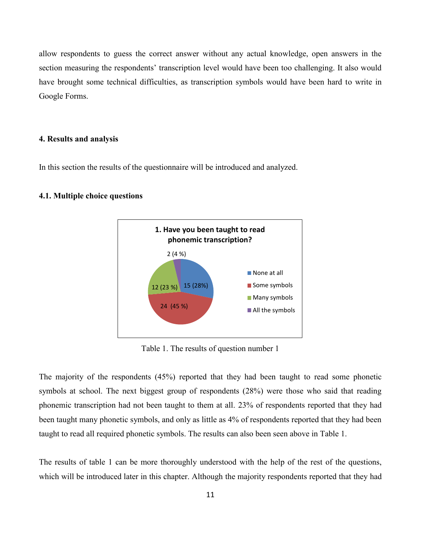allow respondents to guess the correct answer without any actual knowledge, open answers in the section measuring the respondents' transcription level would have been too challenging. It also would have brought some technical difficulties, as transcription symbols would have been hard to write in Google Forms.

#### **4. Results and analysis**

In this section the results of the questionnaire will be introduced and analyzed.

## **4.1. Multiple choice questions**



Table 1. The results of question number 1

The majority of the respondents (45%) reported that they had been taught to read some phonetic symbols at school. The next biggest group of respondents (28%) were those who said that reading phonemic transcription had not been taught to them at all. 23% of respondents reported that they had been taught many phonetic symbols, and only as little as 4% of respondents reported that they had been taught to read all required phonetic symbols. The results can also been seen above in Table 1.

The results of table 1 can be more thoroughly understood with the help of the rest of the questions, which will be introduced later in this chapter. Although the majority respondents reported that they had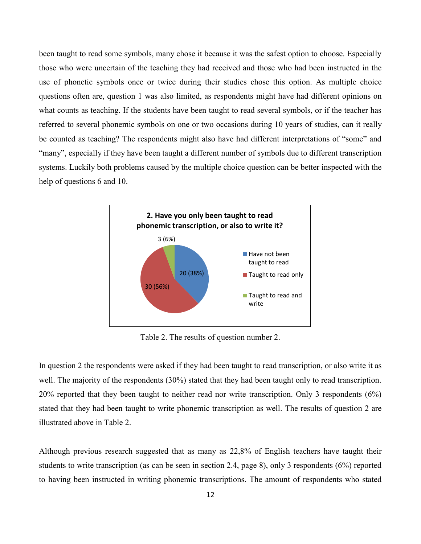been taught to read some symbols, many chose it because it was the safest option to choose. Especially those who were uncertain of the teaching they had received and those who had been instructed in the use of phonetic symbols once or twice during their studies chose this option. As multiple choice questions often are, question 1 was also limited, as respondents might have had different opinions on what counts as teaching. If the students have been taught to read several symbols, or if the teacher has referred to several phonemic symbols on one or two occasions during 10 years of studies, can it really be counted as teaching? The respondents might also have had different interpretations of "some" and "many", especially if they have been taught a different number of symbols due to different transcription systems. Luckily both problems caused by the multiple choice question can be better inspected with the help of questions 6 and 10.



Table 2. The results of question number 2.

In question 2 the respondents were asked if they had been taught to read transcription, or also write it as well. The majority of the respondents (30%) stated that they had been taught only to read transcription. 20% reported that they been taught to neither read nor write transcription. Only 3 respondents (6%) stated that they had been taught to write phonemic transcription as well. The results of question 2 are illustrated above in Table 2.

Although previous research suggested that as many as 22,8% of English teachers have taught their students to write transcription (as can be seen in section 2.4, page 8), only 3 respondents (6%) reported to having been instructed in writing phonemic transcriptions. The amount of respondents who stated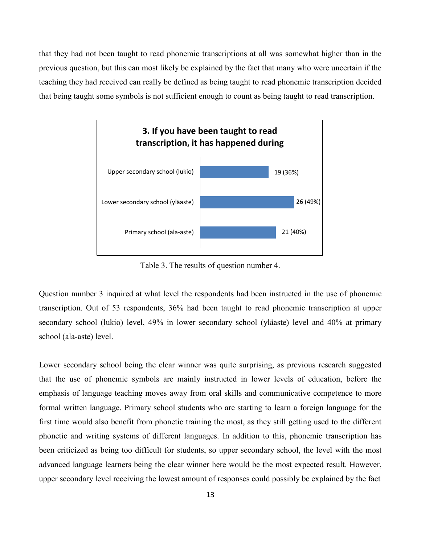that they had not been taught to read phonemic transcriptions at all was somewhat higher than in the previous question, but this can most likely be explained by the fact that many who were uncertain if the teaching they had received can really be defined as being taught to read phonemic transcription decided that being taught some symbols is not sufficient enough to count as being taught to read transcription.



Table 3. The results of question number 4.

Question number 3 inquired at what level the respondents had been instructed in the use of phonemic transcription. Out of 53 respondents, 36% had been taught to read phonemic transcription at upper secondary school (lukio) level, 49% in lower secondary school (yläaste) level and 40% at primary school (ala-aste) level.

Lower secondary school being the clear winner was quite surprising, as previous research suggested that the use of phonemic symbols are mainly instructed in lower levels of education, before the emphasis of language teaching moves away from oral skills and communicative competence to more formal written language. Primary school students who are starting to learn a foreign language for the first time would also benefit from phonetic training the most, as they still getting used to the different phonetic and writing systems of different languages. In addition to this, phonemic transcription has been criticized as being too difficult for students, so upper secondary school, the level with the most advanced language learners being the clear winner here would be the most expected result. However, upper secondary level receiving the lowest amount of responses could possibly be explained by the fact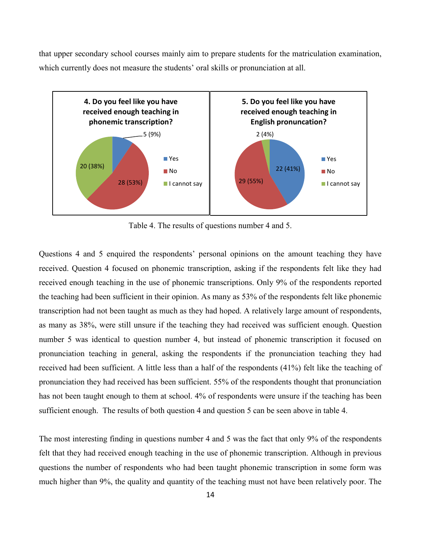that upper secondary school courses mainly aim to prepare students for the matriculation examination, which currently does not measure the students' oral skills or pronunciation at all.



Table 4. The results of questions number 4 and 5.

Questions 4 and 5 enquired the respondents' personal opinions on the amount teaching they have received. Question 4 focused on phonemic transcription, asking if the respondents felt like they had received enough teaching in the use of phonemic transcriptions. Only 9% of the respondents reported the teaching had been sufficient in their opinion. As many as 53% of the respondents felt like phonemic transcription had not been taught as much as they had hoped. A relatively large amount of respondents, as many as 38%, were still unsure if the teaching they had received was sufficient enough. Question number 5 was identical to question number 4, but instead of phonemic transcription it focused on pronunciation teaching in general, asking the respondents if the pronunciation teaching they had received had been sufficient. A little less than a half of the respondents (41%) felt like the teaching of pronunciation they had received has been sufficient. 55% of the respondents thought that pronunciation has not been taught enough to them at school. 4% of respondents were unsure if the teaching has been sufficient enough. The results of both question 4 and question 5 can be seen above in table 4.

The most interesting finding in questions number 4 and 5 was the fact that only 9% of the respondents felt that they had received enough teaching in the use of phonemic transcription. Although in previous questions the number of respondents who had been taught phonemic transcription in some form was much higher than 9%, the quality and quantity of the teaching must not have been relatively poor. The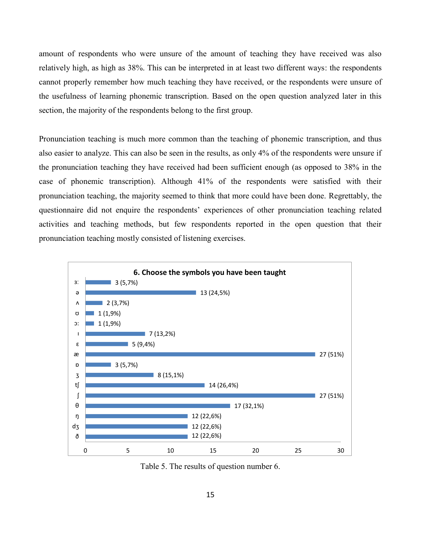amount of respondents who were unsure of the amount of teaching they have received was also relatively high, as high as 38%. This can be interpreted in at least two different ways: the respondents cannot properly remember how much teaching they have received, or the respondents were unsure of the usefulness of learning phonemic transcription. Based on the open question analyzed later in this section, the majority of the respondents belong to the first group.

Pronunciation teaching is much more common than the teaching of phonemic transcription, and thus also easier to analyze. This can also be seen in the results, as only 4% of the respondents were unsure if the pronunciation teaching they have received had been sufficient enough (as opposed to 38% in the case of phonemic transcription). Although 41% of the respondents were satisfied with their pronunciation teaching, the majority seemed to think that more could have been done. Regrettably, the questionnaire did not enquire the respondents' experiences of other pronunciation teaching related activities and teaching methods, but few respondents reported in the open question that their pronunciation teaching mostly consisted of listening exercises.



Table 5. The results of question number 6.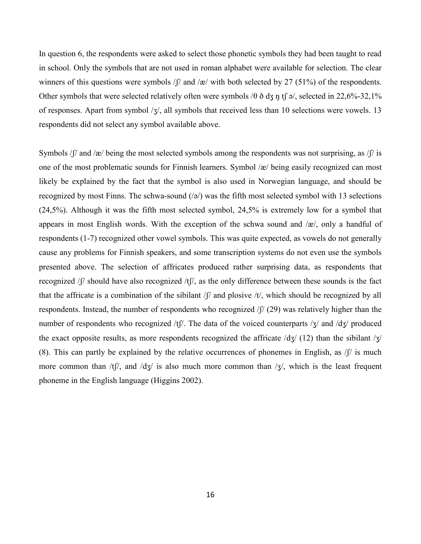In question 6, the respondents were asked to select those phonetic symbols they had been taught to read in school. Only the symbols that are not used in roman alphabet were available for selection. The clear winners of this questions were symbols  $/$   $\beta$  and  $/$ æ $/$  with both selected by 27 (51%) of the respondents. Other symbols that were selected relatively often were symbols /θ  $\delta$  dʒ η tʃ ə/, selected in 22,6%-32,1% of responses. Apart from symbol /ʒ/, all symbols that received less than 10 selections were vowels. 13 respondents did not select any symbol available above.

Symbols  $/$ f/ and  $/$ æ/ being the most selected symbols among the respondents was not surprising, as  $/$ f/ is one of the most problematic sounds for Finnish learners. Symbol /æ/ being easily recognized can most likely be explained by the fact that the symbol is also used in Norwegian language, and should be recognized by most Finns. The schwa-sound  $(\sqrt{2})$  was the fifth most selected symbol with 13 selections (24,5%). Although it was the fifth most selected symbol, 24,5% is extremely low for a symbol that appears in most English words. With the exception of the schwa sound and /æ/, only a handful of respondents (1-7) recognized other vowel symbols. This was quite expected, as vowels do not generally cause any problems for Finnish speakers, and some transcription systems do not even use the symbols presented above. The selection of affricates produced rather surprising data, as respondents that recognized /ʃ/ should have also recognized /tʃ/, as the only difference between these sounds is the fact that the affricate is a combination of the sibilant /ʃ/ and plosive /t/, which should be recognized by all respondents. Instead, the number of respondents who recognized /ʃ/ (29) was relatively higher than the number of respondents who recognized /tf/. The data of the voiced counterparts / $\frac{1}{3}$  and /d $\frac{1}{3}$  produced the exact opposite results, as more respondents recognized the affricate  $\frac{d}{3}$  (12) than the sibilant  $\frac{1}{3}$ (8). This can partly be explained by the relative occurrences of phonemes in English, as  $/\frac{1}{2}$  is much more common than  $\frac{1}{\sqrt{3}}$ , and  $\frac{1}{3}$  is also much more common than  $\frac{1}{3}$ , which is the least frequent phoneme in the English language (Higgins 2002).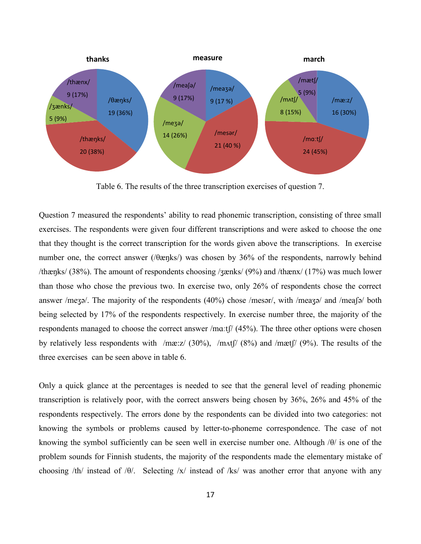

Table 6. The results of the three transcription exercises of question 7.

Question 7 measured the respondents' ability to read phonemic transcription, consisting of three small exercises. The respondents were given four different transcriptions and were asked to choose the one that they thought is the correct transcription for the words given above the transcriptions. In exercise number one, the correct answer (/θæŋks/) was chosen by 36% of the respondents, narrowly behind /thæŋks/ (38%). The amount of respondents choosing /ʒænks/ (9%) and /thænx/ (17%) was much lower than those who chose the previous two. In exercise two, only 26% of respondents chose the correct answer /meʒə/. The majority of the respondents (40%) chose /mesər/, with /meaʒə/ and /meaʃə/ both being selected by 17% of the respondents respectively. In exercise number three, the majority of the respondents managed to choose the correct answer /mɑːtʃ/ (45%). The three other options were chosen by relatively less respondents with /mæ:z/ (30%), /mʌtʃ/ (8%) and /mætʃ/ (9%). The results of the three exercises can be seen above in table 6.

Only a quick glance at the percentages is needed to see that the general level of reading phonemic transcription is relatively poor, with the correct answers being chosen by 36%, 26% and 45% of the respondents respectively. The errors done by the respondents can be divided into two categories: not knowing the symbols or problems caused by letter-to-phoneme correspondence. The case of not knowing the symbol sufficiently can be seen well in exercise number one. Although  $\theta$  is one of the problem sounds for Finnish students, the majority of the respondents made the elementary mistake of choosing /th/ instead of /θ/. Selecting /x/ instead of /ks/ was another error that anyone with any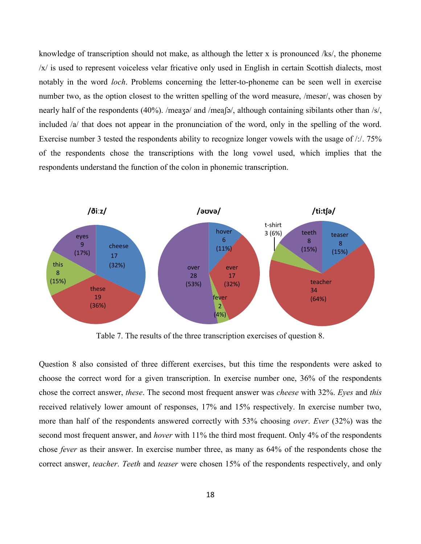knowledge of transcription should not make, as although the letter x is pronounced /ks/, the phoneme /x/ is used to represent voiceless velar fricative only used in English in certain Scottish dialects, most notably in the word *loch*. Problems concerning the letter-to-phoneme can be seen well in exercise number two, as the option closest to the written spelling of the word measure, /mesər/, was chosen by nearly half of the respondents (40%). /meaʒə/ and /meaʃə/, although containing sibilants other than /s/, included /a/ that does not appear in the pronunciation of the word, only in the spelling of the word. Exercise number 3 tested the respondents ability to recognize longer vowels with the usage of /:/. 75% of the respondents chose the transcriptions with the long vowel used, which implies that the respondents understand the function of the colon in phonemic transcription.



Table 7. The results of the three transcription exercises of question 8.

Question 8 also consisted of three different exercises, but this time the respondents were asked to choose the correct word for a given transcription. In exercise number one, 36% of the respondents chose the correct answer, *these*. The second most frequent answer was *cheese* with 32%. *Eyes* and *this* received relatively lower amount of responses, 17% and 15% respectively. In exercise number two, more than half of the respondents answered correctly with 53% choosing *over*. *Ever* (32%) was the second most frequent answer, and *hover* with 11% the third most frequent. Only 4% of the respondents chose *fever* as their answer. In exercise number three, as many as 64% of the respondents chose the correct answer, *teacher*. *Teeth* and *teaser* were chosen 15% of the respondents respectively, and only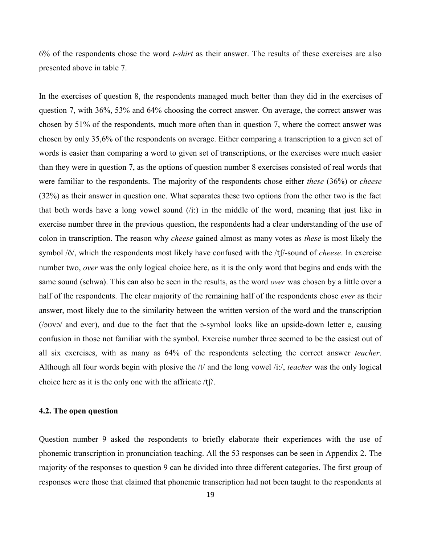6% of the respondents chose the word *t-shirt* as their answer. The results of these exercises are also presented above in table 7.

In the exercises of question 8, the respondents managed much better than they did in the exercises of question 7, with 36%, 53% and 64% choosing the correct answer. On average, the correct answer was chosen by 51% of the respondents, much more often than in question 7, where the correct answer was chosen by only 35,6% of the respondents on average. Either comparing a transcription to a given set of words is easier than comparing a word to given set of transcriptions, or the exercises were much easier than they were in question 7, as the options of question number 8 exercises consisted of real words that were familiar to the respondents. The majority of the respondents chose either *these* (36%) or *cheese* (32%) as their answer in question one. What separates these two options from the other two is the fact that both words have a long vowel sound  $(i)$ : in the middle of the word, meaning that just like in exercise number three in the previous question, the respondents had a clear understanding of the use of colon in transcription. The reason why *cheese* gained almost as many votes as *these* is most likely the symbol /ð/, which the respondents most likely have confused with the /tʃ/-sound of *cheese*. In exercise number two, *over* was the only logical choice here, as it is the only word that begins and ends with the same sound (schwa). This can also be seen in the results, as the word *over* was chosen by a little over a half of the respondents. The clear majority of the remaining half of the respondents chose *ever* as their answer, most likely due to the similarity between the written version of the word and the transcription (/əʊvə/ and ever), and due to the fact that the ə-symbol looks like an upside-down letter e, causing confusion in those not familiar with the symbol. Exercise number three seemed to be the easiest out of all six exercises, with as many as 64% of the respondents selecting the correct answer *teacher*. Although all four words begin with plosive the /t/ and the long vowel /i:/, *teacher* was the only logical choice here as it is the only one with the affricate  $/t$   $\beta$ .

#### **4.2. The open question**

Question number 9 asked the respondents to briefly elaborate their experiences with the use of phonemic transcription in pronunciation teaching. All the 53 responses can be seen in Appendix 2. The majority of the responses to question 9 can be divided into three different categories. The first group of responses were those that claimed that phonemic transcription had not been taught to the respondents at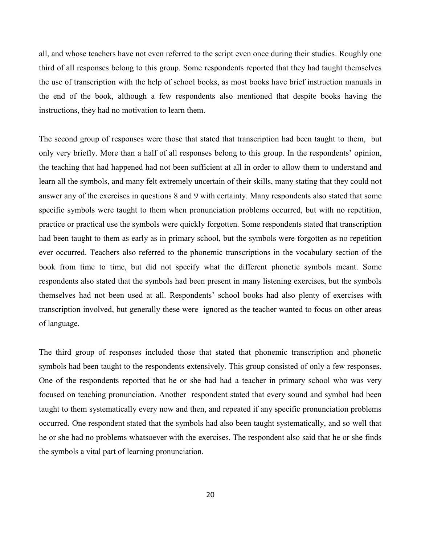all, and whose teachers have not even referred to the script even once during their studies. Roughly one third of all responses belong to this group. Some respondents reported that they had taught themselves the use of transcription with the help of school books, as most books have brief instruction manuals in the end of the book, although a few respondents also mentioned that despite books having the instructions, they had no motivation to learn them.

The second group of responses were those that stated that transcription had been taught to them, but only very briefly. More than a half of all responses belong to this group. In the respondents' opinion, the teaching that had happened had not been sufficient at all in order to allow them to understand and learn all the symbols, and many felt extremely uncertain of their skills, many stating that they could not answer any of the exercises in questions 8 and 9 with certainty. Many respondents also stated that some specific symbols were taught to them when pronunciation problems occurred, but with no repetition, practice or practical use the symbols were quickly forgotten. Some respondents stated that transcription had been taught to them as early as in primary school, but the symbols were forgotten as no repetition ever occurred. Teachers also referred to the phonemic transcriptions in the vocabulary section of the book from time to time, but did not specify what the different phonetic symbols meant. Some respondents also stated that the symbols had been present in many listening exercises, but the symbols themselves had not been used at all. Respondents' school books had also plenty of exercises with transcription involved, but generally these were ignored as the teacher wanted to focus on other areas of language.

The third group of responses included those that stated that phonemic transcription and phonetic symbols had been taught to the respondents extensively. This group consisted of only a few responses. One of the respondents reported that he or she had had a teacher in primary school who was very focused on teaching pronunciation. Another respondent stated that every sound and symbol had been taught to them systematically every now and then, and repeated if any specific pronunciation problems occurred. One respondent stated that the symbols had also been taught systematically, and so well that he or she had no problems whatsoever with the exercises. The respondent also said that he or she finds the symbols a vital part of learning pronunciation.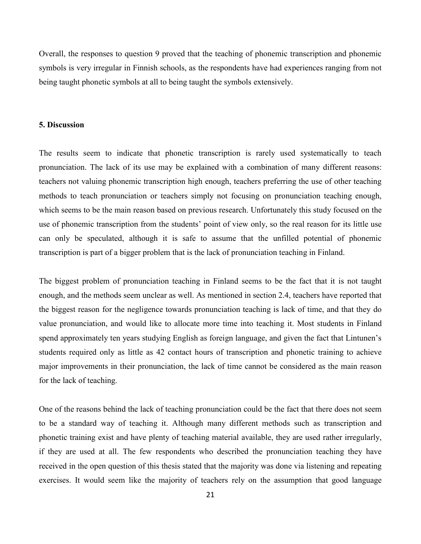Overall, the responses to question 9 proved that the teaching of phonemic transcription and phonemic symbols is very irregular in Finnish schools, as the respondents have had experiences ranging from not being taught phonetic symbols at all to being taught the symbols extensively.

# **5. Discussion**

The results seem to indicate that phonetic transcription is rarely used systematically to teach pronunciation. The lack of its use may be explained with a combination of many different reasons: teachers not valuing phonemic transcription high enough, teachers preferring the use of other teaching methods to teach pronunciation or teachers simply not focusing on pronunciation teaching enough, which seems to be the main reason based on previous research. Unfortunately this study focused on the use of phonemic transcription from the students' point of view only, so the real reason for its little use can only be speculated, although it is safe to assume that the unfilled potential of phonemic transcription is part of a bigger problem that is the lack of pronunciation teaching in Finland.

The biggest problem of pronunciation teaching in Finland seems to be the fact that it is not taught enough, and the methods seem unclear as well. As mentioned in section 2.4, teachers have reported that the biggest reason for the negligence towards pronunciation teaching is lack of time, and that they do value pronunciation, and would like to allocate more time into teaching it. Most students in Finland spend approximately ten years studying English as foreign language, and given the fact that Lintunen's students required only as little as 42 contact hours of transcription and phonetic training to achieve major improvements in their pronunciation, the lack of time cannot be considered as the main reason for the lack of teaching.

One of the reasons behind the lack of teaching pronunciation could be the fact that there does not seem to be a standard way of teaching it. Although many different methods such as transcription and phonetic training exist and have plenty of teaching material available, they are used rather irregularly, if they are used at all. The few respondents who described the pronunciation teaching they have received in the open question of this thesis stated that the majority was done via listening and repeating exercises. It would seem like the majority of teachers rely on the assumption that good language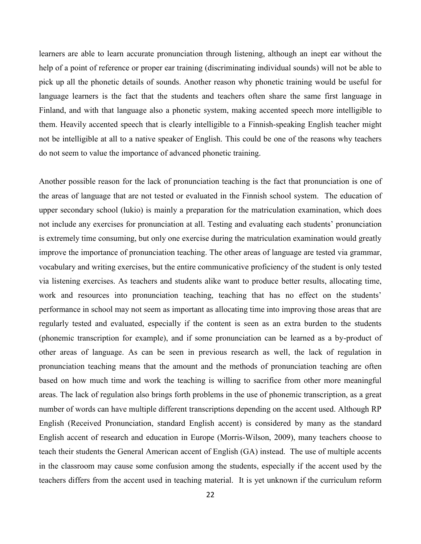learners are able to learn accurate pronunciation through listening, although an inept ear without the help of a point of reference or proper ear training (discriminating individual sounds) will not be able to pick up all the phonetic details of sounds. Another reason why phonetic training would be useful for language learners is the fact that the students and teachers often share the same first language in Finland, and with that language also a phonetic system, making accented speech more intelligible to them. Heavily accented speech that is clearly intelligible to a Finnish-speaking English teacher might not be intelligible at all to a native speaker of English. This could be one of the reasons why teachers do not seem to value the importance of advanced phonetic training.

Another possible reason for the lack of pronunciation teaching is the fact that pronunciation is one of the areas of language that are not tested or evaluated in the Finnish school system. The education of upper secondary school (lukio) is mainly a preparation for the matriculation examination, which does not include any exercises for pronunciation at all. Testing and evaluating each students' pronunciation is extremely time consuming, but only one exercise during the matriculation examination would greatly improve the importance of pronunciation teaching. The other areas of language are tested via grammar, vocabulary and writing exercises, but the entire communicative proficiency of the student is only tested via listening exercises. As teachers and students alike want to produce better results, allocating time, work and resources into pronunciation teaching, teaching that has no effect on the students' performance in school may not seem as important as allocating time into improving those areas that are regularly tested and evaluated, especially if the content is seen as an extra burden to the students (phonemic transcription for example), and if some pronunciation can be learned as a by-product of other areas of language. As can be seen in previous research as well, the lack of regulation in pronunciation teaching means that the amount and the methods of pronunciation teaching are often based on how much time and work the teaching is willing to sacrifice from other more meaningful areas. The lack of regulation also brings forth problems in the use of phonemic transcription, as a great number of words can have multiple different transcriptions depending on the accent used. Although RP English (Received Pronunciation, standard English accent) is considered by many as the standard English accent of research and education in Europe (Morris-Wilson, 2009), many teachers choose to teach their students the General American accent of English (GA) instead. The use of multiple accents in the classroom may cause some confusion among the students, especially if the accent used by the teachers differs from the accent used in teaching material. It is yet unknown if the curriculum reform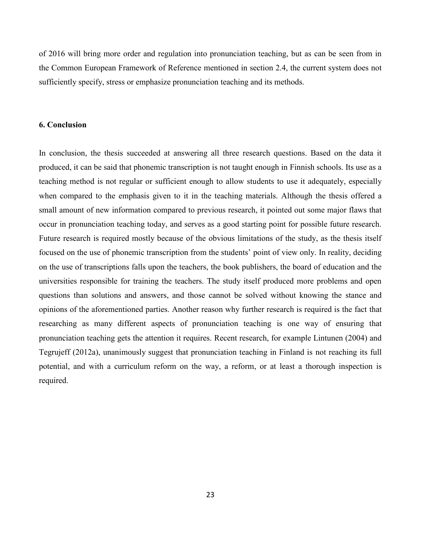of 2016 will bring more order and regulation into pronunciation teaching, but as can be seen from in the Common European Framework of Reference mentioned in section 2.4, the current system does not sufficiently specify, stress or emphasize pronunciation teaching and its methods.

# **6. Conclusion**

In conclusion, the thesis succeeded at answering all three research questions. Based on the data it produced, it can be said that phonemic transcription is not taught enough in Finnish schools. Its use as a teaching method is not regular or sufficient enough to allow students to use it adequately, especially when compared to the emphasis given to it in the teaching materials. Although the thesis offered a small amount of new information compared to previous research, it pointed out some major flaws that occur in pronunciation teaching today, and serves as a good starting point for possible future research. Future research is required mostly because of the obvious limitations of the study, as the thesis itself focused on the use of phonemic transcription from the students' point of view only. In reality, deciding on the use of transcriptions falls upon the teachers, the book publishers, the board of education and the universities responsible for training the teachers. The study itself produced more problems and open questions than solutions and answers, and those cannot be solved without knowing the stance and opinions of the aforementioned parties. Another reason why further research is required is the fact that researching as many different aspects of pronunciation teaching is one way of ensuring that pronunciation teaching gets the attention it requires. Recent research, for example Lintunen (2004) and Tegrujeff (2012a), unanimously suggest that pronunciation teaching in Finland is not reaching its full potential, and with a curriculum reform on the way, a reform, or at least a thorough inspection is required.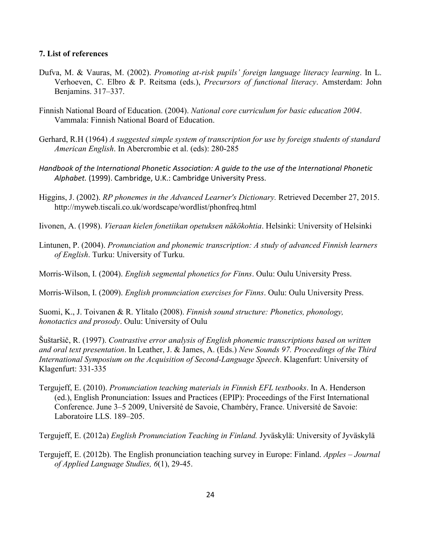## **7. List of references**

- Dufva, M. & Vauras, M. (2002). *Promoting at-risk pupils' foreign language literacy learning*. In L. Verhoeven, C. Elbro & P. Reitsma (eds.), *Precursors of functional literacy*. Amsterdam: John Benjamins. 317–337.
- Finnish National Board of Education. (2004). *National core curriculum for basic education 2004*. Vammala: Finnish National Board of Education.
- Gerhard, R.H (1964) *A suggested simple system of transcription for use by foreign students of standard American English*. In Abercrombie et al. (eds): 280-285
- *Handbook of the International Phonetic Association: A guide to the use of the International Phonetic Alphabet.* (1999). Cambridge, U.K.: Cambridge University Press.
- Higgins, J. (2002). *RP phonemes in the Advanced Learner's Dictionary.* Retrieved December 27, 2015. http://myweb.tiscali.co.uk/wordscape/wordlist/phonfreq.html

Iivonen, A. (1998). *Vieraan kielen fonetiikan opetuksen näkökohtia*. Helsinki: University of Helsinki

Lintunen, P. (2004). *Pronunciation and phonemic transcription: A study of advanced Finnish learners of English*. Turku: University of Turku.

Morris-Wilson, I. (2004). *English segmental phonetics for Finns*. Oulu: Oulu University Press.

Morris-Wilson, I. (2009). *English pronunciation exercises for Finns*. Oulu: Oulu University Press.

Suomi, K., J. Toivanen & R. Ylitalo (2008). *Finnish sound structure: Phonetics, phonology, honotactics and prosody*. Oulu: University of Oulu

Šuštaršič, R. (1997). *Contrastive error analysis of English phonemic transcriptions based on written and oral text presentation*. In Leather, J. & James, A. (Eds.) *New Sounds 97. Proceedings of the Third International Symposium on the Acquisition of Second-Language Speech*. Klagenfurt: University of Klagenfurt: 331-335

Tergujeff, E. (2010). *Pronunciation teaching materials in Finnish EFL textbooks*. In A. Henderson (ed.), English Pronunciation: Issues and Practices (EPIP): Proceedings of the First International Conference. June 3–5 2009, Université de Savoie, Chambéry, France. Université de Savoie: Laboratoire LLS. 189–205.

Tergujeff, E. (2012a) *English Pronunciation Teaching in Finland.* Jyväskylä: University of Jyväskylä

Tergujeff, E. (2012b). The English pronunciation teaching survey in Europe: Finland. *Apples – Journal of Applied Language Studies, 6*(1), 29-45.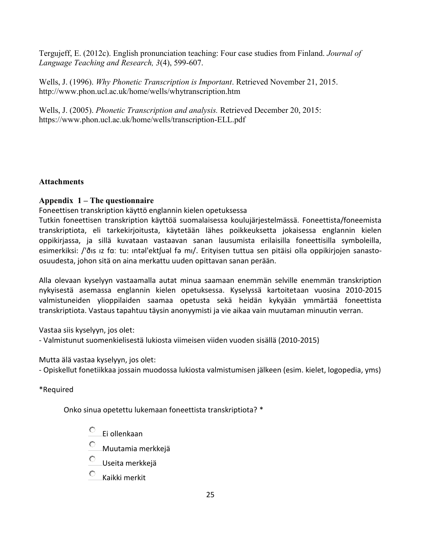Tergujeff, E. (2012c). English pronunciation teaching: Four case studies from Finland. *Journal of Language Teaching and Research, 3*(4), 599-607.

Wells, J. (1996). *Why Phonetic Transcription is Important*. Retrieved November 21, 2015. <http://www.phon.ucl.ac.uk/home/wells/whytranscription.htm>

Wells, J. (2005). *Phonetic Transcription and analysis.* Retrieved December 20, 2015: https://www.phon.ucl.ac.uk/home/wells/transcription-ELL.pdf

# **Attachments**

# **Appendix 1 – The questionnaire**

Foneettisen transkription käyttö englannin kielen opetuksessa

Tutkin foneettisen transkription käyttöä suomalaisessa koulujärjestelmässä. Foneettista/foneemista transkriptiota, eli tarkekirjoitusta, käytetään lähes poikkeuksetta jokaisessa englannin kielen oppikirjassa, ja sillä kuvataan vastaavan sanan lausumista erilaisilla foneettisilla symboleilla, esimerkiksi: /'ðɪs ɪz fɑː tu: ɪntəl'ektʃuəl fə mɪ/. Erityisen tuttua sen pitäisi olla oppikirjojen sanastoosuudesta, johon sitä on aina merkattu uuden opittavan sanan perään.

Alla olevaan kyselyyn vastaamalla autat minua saamaan enemmän selville enemmän transkription nykyisestä asemassa englannin kielen opetuksessa. Kyselyssä kartoitetaan vuosina 2010-2015 valmistuneiden ylioppilaiden saamaa opetusta sekä heidän kykyään ymmärtää foneettista transkriptiota. Vastaus tapahtuu täysin anonyymisti ja vie aikaa vain muutaman minuutin verran.

Vastaa siis kyselyyn, jos olet:

- Valmistunut suomenkielisestä lukiosta viimeisen viiden vuoden sisällä (2010-2015)

Mutta älä vastaa kyselyyn, jos olet:

- Opiskellut fonetiikkaa jossain muodossa lukiosta valmistumisen jälkeen (esim. kielet, logopedia, yms)

\*Required

Onko sinua opetettu lukemaan foneettista transkriptiota? \*

- Ei ollenkaan
- Muutamia merkkejä
- Useita merkkeiä
- $\circ$  \_Kaikki merkit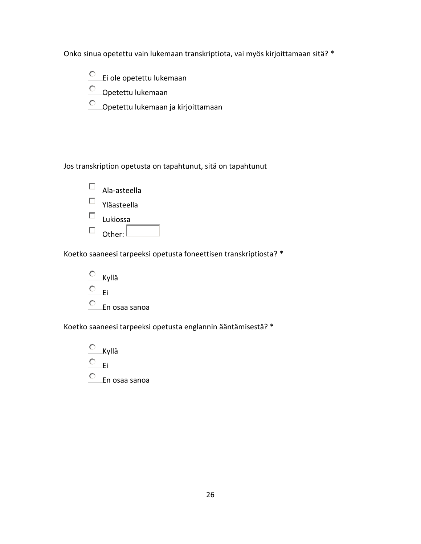Onko sinua opetettu vain lukemaan transkriptiota, vai myös kirjoittamaan sitä? \*

- $\overline{\mathsf{C}}$  Ei ole opetettu lukemaan
- $\overline{\mathbb{C}}$  Opetettu lukemaan
- $\overline{\mathbb{C}}$  Opetettu lukemaan ja kirjoittamaan

# Jos transkription opetusta on tapahtunut, sitä on tapahtunut



Koetko saaneesi tarpeeksi opetusta foneettisen transkriptiosta? \*



Koetko saaneesi tarpeeksi opetusta englannin ääntämisestä? \*

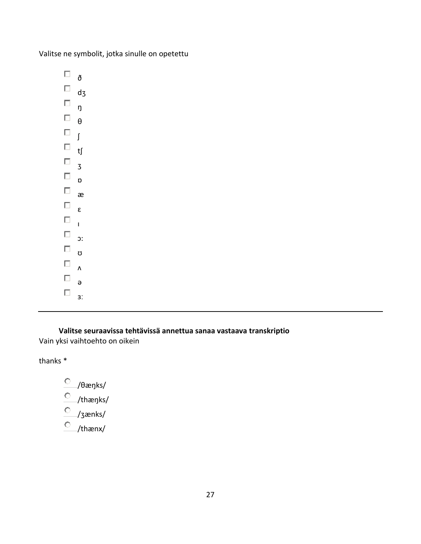Valitse ne symbolit, jotka sinulle on opetettu

 ð  $\Box$  d3  $\Box$  ŋ θ  $\Box$  $\Box$ <sub>t</sub>  $\Box$ <sub>3</sub>  $\Box$  p æ  $\Box$ <sub>s</sub>  $\square$  $\Box$  <sub>3:</sub>  $\Box$   $\sigma$  $\square$   $\wedge$  ə  $\square$  3:

**Valitse seuraavissa tehtävissä annettua sanaa vastaava transkriptio** Vain yksi vaihtoehto on oikein

thanks \*

 /θæŋks/ /thæŋks/  $\frac{C}{2}$ /3ænks/  $\overline{\mathcal{C}}$  /thænx/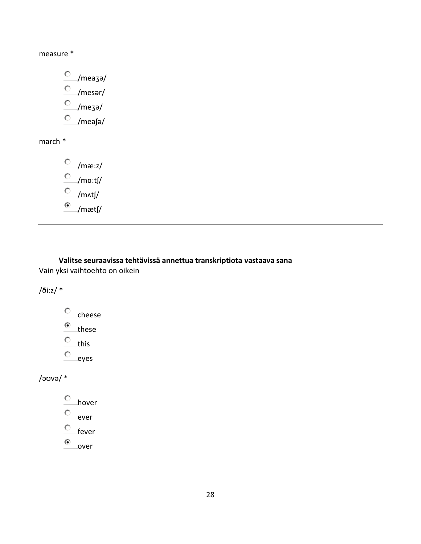measure \*

 $^{\circ}$ /теазә/  $^{\circ}$  /mesər/  $C$  /meʒə/  $\circ$  /meaʃə/

march \*

 $^{\circ}$ /mæ:z/  $\circlearrowright$ /maːtʃ/  $O$  /mʌtʃ/  $^{\circ}$ /mætʃ/

**Valitse seuraavissa tehtävissä annettua transkriptiota vastaava sana** Vain yksi vaihtoehto on oikein

/ðiːz/ \*

 $^{\circ}$  cheese  $^{\circ}$  these  $C_{\text{this}}$  $^{\circ}$ eyes

/əʊvə/ \*

 $_$  hover  $^{\circ}$  ever  $C$  fever  $^{\circ}$  over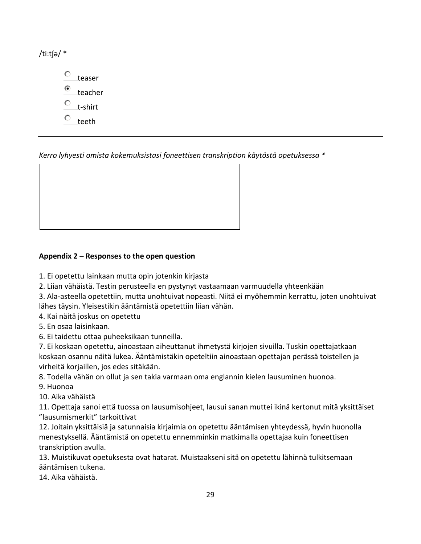| /ti:tsa/ $*$ |         |  |
|--------------|---------|--|
|              | teaser  |  |
|              | teacher |  |
|              | t-shirt |  |
|              | teeth   |  |

*Kerro lyhyesti omista kokemuksistasi foneettisen transkription käytöstä opetuksessa \**

# **Appendix 2 – Responses to the open question**

- 1. Ei opetettu lainkaan mutta opin jotenkin kirjasta
- 2. Liian vähäistä. Testin perusteella en pystynyt vastaamaan varmuudella yhteenkään
- 3. Ala-asteella opetettiin, mutta unohtuivat nopeasti. Niitä ei myöhemmin kerrattu, joten unohtuivat lähes täysin. Yleisestikin ääntämistä opetettiin liian vähän.
- 4. Kai näitä joskus on opetettu
- 5. En osaa laisinkaan.
- 6. Ei taidettu ottaa puheeksikaan tunneilla.
- 7. Ei koskaan opetettu, ainoastaan aiheuttanut ihmetystä kirjojen sivuilla. Tuskin opettajatkaan koskaan osannu näitä lukea. Ääntämistäkin opeteltiin ainoastaan opettajan perässä toistellen ja virheitä korjaillen, jos edes sitäkään.
- 8. Todella vähän on ollut ja sen takia varmaan oma englannin kielen lausuminen huonoa.
- 9. Huonoa
- 10. Aika vähäistä

11. Opettaja sanoi että tuossa on lausumisohjeet, lausui sanan muttei ikinä kertonut mitä yksittäiset "lausumismerkit" tarkoittivat

12. Joitain yksittäisiä ja satunnaisia kirjaimia on opetettu ääntämisen yhteydessä, hyvin huonolla menestyksellä. Ääntämistä on opetettu ennemminkin matkimalla opettajaa kuin foneettisen transkription avulla.

13. Muistikuvat opetuksesta ovat hatarat. Muistaakseni sitä on opetettu lähinnä tulkitsemaan ääntämisen tukena.

14. Aika vähäistä.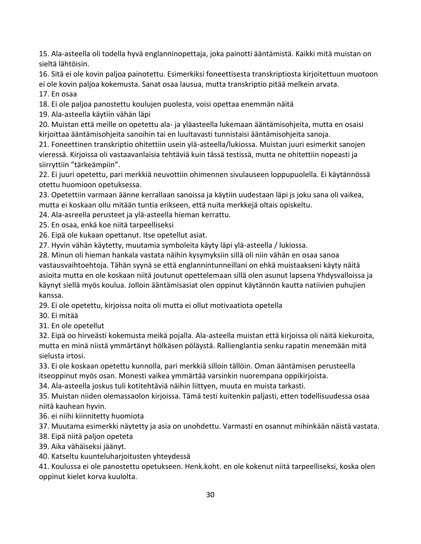15. Ala-asteella oli todella hyvä englanninopettaja, joka painotti ääntämistä. Kaikki mitä muistan on sieltä lähtöisin.

16. Sitä ei ole kovin paljoa painotettu. Esimerkiksi foneettisesta transkriptiosta kirjoitettuun muotoon ei ole kovin paljoa kokemusta. Sanat osaa lausua, mutta transkriptio pitää melkein arvata.

17. En osaa

18. Ei ole paljoa panostettu koulujen puolesta, voisi opettaa enemmän näitä

19. Ala-asteella käytiin vähän läpi

20. Muistan että meille on opetettu ala- ja yläasteella lukemaan ääntämisohjeita, mutta en osaisi kirjoittaa ääntämisohjeita sanoihin tai en luultavasti tunnistaisi ääntämisohjeita sanoja.

21. Foneettinen transkriptio ohitettiin usein ylä-asteella/lukiossa. Muistan juuri esimerkit sanojen vieressä. Kirjoissa oli vastaavanlaisia tehtäviä kuin tässä testissä, mutta ne ohitettiin nopeasti ja siirryttiin "tärkeämpiin".

22. Ei juuri opetettu, pari merkkiä neuvottiin ohimennen sivulauseen loppupuolella. Ei käytännössä otettu huomioon opetuksessa.

23. Opetettiin varmaan äänne kerrallaan sanoissa ja käytiin uudestaan läpi js joku sana oli vaikea, mutta ei koskaan ollu mitään tuntia erikseen, että nuita merkkejä oltais opiskeltu.

24. Ala-asreella perusteet ja ylä-asteella hieman kerrattu.

25. En osaa, enkä koe niitä tarpeelliseksi

26. Eipä ole kukaan opettanut. Itse opetellut asiat.

27. Hyvin vähän käytetty, muutamia symboleita käyty läpi ylä-asteella / lukiossa.

28. Minun oli hieman hankala vastata näihin kysymyksiin sillä oli niin vähän en osaa sanoa vastausvaihtoehtoja. Tähän syynä se että englannintunneillani on ehkä muistaakseni käyty näitä asioita mutta en ole koskaan niitä joutunut opettelemaan sillä olen asunut lapsena Yhdysvalloissa ja käynyt siellä myös koulua. Jolloin ääntämisasiat olen oppinut käytännön kautta natiivien puhujien kanssa.

29. Ei ole opetettu, kirjoissa noita oli mutta ei ollut motivaatiota opetella

30. Ei mitää

31. En ole opetellut

32. Eipä oo hirveästi kokemusta meikä pojalla. Ala-asteella muistan että kirjoissa oli näitä kiekuroita, mutta en minä niistä ymmärtänyt hölkäsen pöläystä. Rallienglantia senku rapatin menemään mitä sielusta irtosi.

33. Ei ole koskaan opetettu kunnolla, pari merkkiä silloin tällöin. Oman ääntämisen perusteella itseoppinut myös osan. Monesti vaikea ymmärtää varsinkin nuorempana oppikirjoista.

34. Ala-asteella joskus tuli kotitehtäviä näihin liittyen, muuta en muista tarkasti.

35. Muistan niiden olemassaolon kirjoissa. Tämä testi kuitenkin paljasti, etten todellisuudessa osaa niitä kauhean hyvin.

36. ei niihi kiinnitetty huomiota

37. Muutama esimerkki näytetty ja asia on unohdettu. Varmasti en osannut mihinkään näistä vastata.

- 38. Eipä niitä paljon opeteta
- 39. Aika vähäiseksi jäänyt.

40. Katseltu kuunteluharjoitusten yhteydessä

41. Koulussa ei ole panostettu opetukseen. Henk.koht. en ole kokenut niitä tarpeelliseksi, koska olen oppinut kielet korva kuulolta.